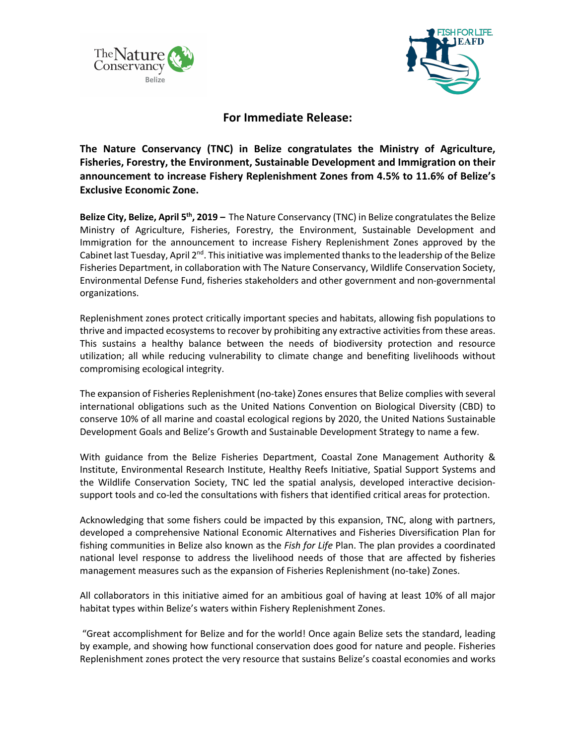



## **For Immediate Release:**

**The Nature Conservancy (TNC) in Belize congratulates the Ministry of Agriculture, Fisheries, Forestry, the Environment, Sustainable Development and Immigration on their announcement to increase Fishery Replenishment Zones from 4.5% to 11.6% of Belize's Exclusive Economic Zone.**

**Belize City, Belize, April 5th, 2019 –** The Nature Conservancy (TNC) in Belize congratulates the Belize Ministry of Agriculture, Fisheries, Forestry, the Environment, Sustainable Development and Immigration for the announcement to increase Fishery Replenishment Zones approved by the Cabinet last Tuesday, April  $2^{nd}$ . This initiative was implemented thanks to the leadership of the Belize Fisheries Department, in collaboration with The Nature Conservancy, Wildlife Conservation Society, Environmental Defense Fund, fisheries stakeholders and other government and non-governmental organizations.

Replenishment zones protect critically important species and habitats, allowing fish populations to thrive and impacted ecosystems to recover by prohibiting any extractive activities from these areas. This sustains a healthy balance between the needs of biodiversity protection and resource utilization; all while reducing vulnerability to climate change and benefiting livelihoods without compromising ecological integrity.

The expansion of Fisheries Replenishment (no-take) Zones ensures that Belize complies with several international obligations such as the United Nations Convention on Biological Diversity (CBD) to conserve 10% of all marine and coastal ecological regions by 2020, the United Nations Sustainable Development Goals and Belize's Growth and Sustainable Development Strategy to name a few.

With guidance from the Belize Fisheries Department, Coastal Zone Management Authority & Institute, Environmental Research Institute, Healthy Reefs Initiative, Spatial Support Systems and the Wildlife Conservation Society, TNC led the spatial analysis, developed interactive decisionsupport tools and co-led the consultations with fishers that identified critical areas for protection.

Acknowledging that some fishers could be impacted by this expansion, TNC, along with partners, developed a comprehensive National Economic Alternatives and Fisheries Diversification Plan for fishing communities in Belize also known as the *Fish for Life* Plan. The plan provides a coordinated national level response to address the livelihood needs of those that are affected by fisheries management measures such as the expansion of Fisheries Replenishment (no-take) Zones.

All collaborators in this initiative aimed for an ambitious goal of having at least 10% of all major habitat types within Belize's waters within Fishery Replenishment Zones.

"Great accomplishment for Belize and for the world! Once again Belize sets the standard, leading by example, and showing how functional conservation does good for nature and people. Fisheries Replenishment zones protect the very resource that sustains Belize's coastal economies and works